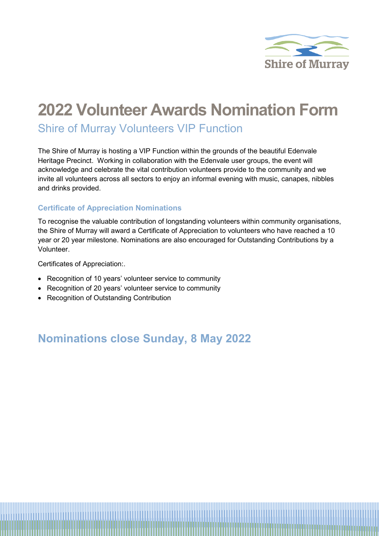

# **2022 Volunteer Awards Nomination Form**

Shire of Murray Volunteers VIP Function

The Shire of Murray is hosting a VIP Function within the grounds of the beautiful Edenvale Heritage Precinct. Working in collaboration with the Edenvale user groups, the event will acknowledge and celebrate the vital contribution volunteers provide to the community and we invite all volunteers across all sectors to enjoy an informal evening with music, canapes, nibbles and drinks provided.

#### **Certificate of Appreciation Nominations**

To recognise the valuable contribution of longstanding volunteers within community organisations, the Shire of Murray will award a Certificate of Appreciation to volunteers who have reached a 10 year or 20 year milestone. Nominations are also encouraged for Outstanding Contributions by a Volunteer.

Certificates of Appreciation:.

- Recognition of 10 years' volunteer service to community
- Recognition of 20 years' volunteer service to community
- Recognition of Outstanding Contribution

## **Nominations close Sunday, 8 May 2022**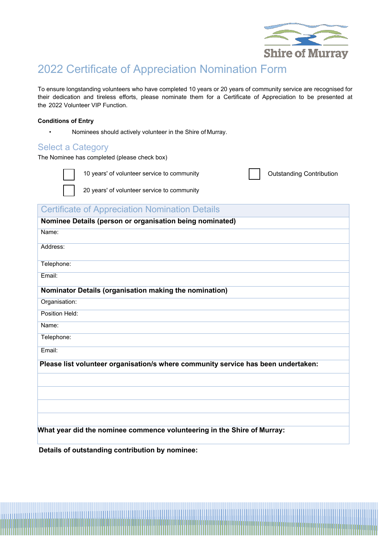

# 2022 Certificate of Appreciation Nomination Form

To ensure longstanding volunteers who have completed 10 years or 20 years of community service are recognised for their dedication and tireless efforts, please nominate them for a Certificate of Appreciation to be presented at the 2022 Volunteer VIP Function.

#### **Conditions of Entry**

• Nominees should actively volunteer in the Shire of Murray.

#### Select a Category

The Nominee has completed (please check box)



10 years' of volunteer service to community

20 years' of volunteer service to community

Outstanding Contribution

### **Certificate of Appreciation Nomination Details**

| Nominee Details (person or organisation being nominated)                          |
|-----------------------------------------------------------------------------------|
| Name:                                                                             |
| Address:                                                                          |
| Telephone:                                                                        |
| Email:                                                                            |
| Nominator Details (organisation making the nomination)                            |
| Organisation:                                                                     |
| Position Held:                                                                    |
| Name:                                                                             |
| Telephone:                                                                        |
| Email:                                                                            |
| Please list volunteer organisation/s where community service has been undertaken: |
|                                                                                   |
|                                                                                   |
|                                                                                   |
|                                                                                   |
| What year did the nominee commence volunteering in the Shire of Murray:           |
|                                                                                   |

**Details of outstanding contribution by nominee:**